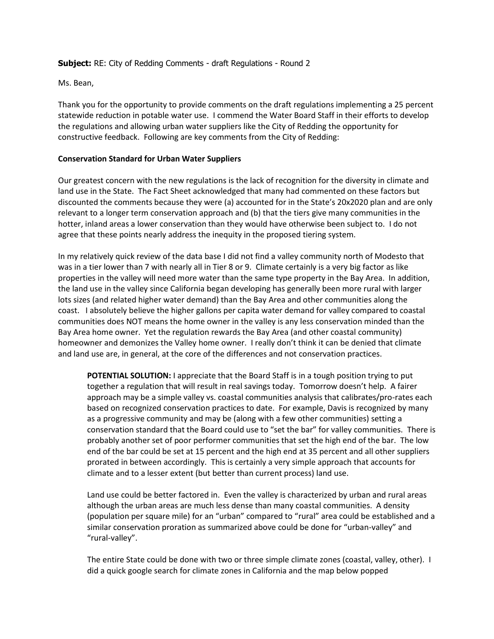## **Subject:** RE: City of Redding Comments - draft Regulations - Round 2

Ms. Bean,

Thank you for the opportunity to provide comments on the draft regulations implementing a 25 percent statewide reduction in potable water use. I commend the Water Board Staff in their efforts to develop the regulations and allowing urban water suppliers like the City of Redding the opportunity for constructive feedback. Following are key comments from the City of Redding:

## **Conservation Standard for Urban Water Suppliers**

Our greatest concern with the new regulations is the lack of recognition for the diversity in climate and land use in the State. The Fact Sheet acknowledged that many had commented on these factors but discounted the comments because they were (a) accounted for in the State's 20x2020 plan and are only relevant to a longer term conservation approach and (b) that the tiers give many communities in the hotter, inland areas a lower conservation than they would have otherwise been subject to. I do not agree that these points nearly address the inequity in the proposed tiering system.

In my relatively quick review of the data base I did not find a valley community north of Modesto that was in a tier lower than 7 with nearly all in Tier 8 or 9. Climate certainly is a very big factor as like properties in the valley will need more water than the same type property in the Bay Area. In addition, the land use in the valley since California began developing has generally been more rural with larger lots sizes (and related higher water demand) than the Bay Area and other communities along the coast. I absolutely believe the higher gallons per capita water demand for valley compared to coastal communities does NOT means the home owner in the valley is any less conservation minded than the Bay Area home owner. Yet the regulation rewards the Bay Area (and other coastal community) homeowner and demonizes the Valley home owner. I really don't think it can be denied that climate and land use are, in general, at the core of the differences and not conservation practices.

**POTENTIAL SOLUTION:** I appreciate that the Board Staff is in a tough position trying to put together a regulation that will result in real savings today. Tomorrow doesn't help. A fairer approach may be a simple valley vs. coastal communities analysis that calibrates/pro-rates each based on recognized conservation practices to date. For example, Davis is recognized by many as a progressive community and may be (along with a few other communities) setting a conservation standard that the Board could use to "set the bar" for valley communities. There is probably another set of poor performer communities that set the high end of the bar. The low end of the bar could be set at 15 percent and the high end at 35 percent and all other suppliers prorated in between accordingly. This is certainly a very simple approach that accounts for climate and to a lesser extent (but better than current process) land use.

Land use could be better factored in. Even the valley is characterized by urban and rural areas although the urban areas are much less dense than many coastal communities. A density (population per square mile) for an "urban" compared to "rural" area could be established and a similar conservation proration as summarized above could be done for "urban-valley" and "rural-valley".

The entire State could be done with two or three simple climate zones (coastal, valley, other). I did a quick google search for climate zones in California and the map below popped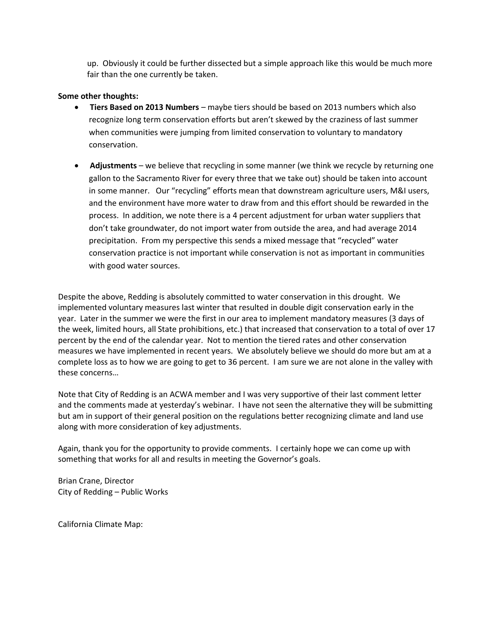up. Obviously it could be further dissected but a simple approach like this would be much more fair than the one currently be taken.

## **Some other thoughts:**

- **Tiers Based on 2013 Numbers** maybe tiers should be based on 2013 numbers which also recognize long term conservation efforts but aren't skewed by the craziness of last summer when communities were jumping from limited conservation to voluntary to mandatory conservation.
- **Adjustments**  we believe that recycling in some manner (we think we recycle by returning one gallon to the Sacramento River for every three that we take out) should be taken into account in some manner. Our "recycling" efforts mean that downstream agriculture users, M&I users, and the environment have more water to draw from and this effort should be rewarded in the process. In addition, we note there is a 4 percent adjustment for urban water suppliers that don't take groundwater, do not import water from outside the area, and had average 2014 precipitation. From my perspective this sends a mixed message that "recycled" water conservation practice is not important while conservation is not as important in communities with good water sources.

Despite the above, Redding is absolutely committed to water conservation in this drought. We implemented voluntary measures last winter that resulted in double digit conservation early in the year. Later in the summer we were the first in our area to implement mandatory measures (3 days of the week, limited hours, all State prohibitions, etc.) that increased that conservation to a total of over 17 percent by the end of the calendar year. Not to mention the tiered rates and other conservation measures we have implemented in recent years. We absolutely believe we should do more but am at a complete loss as to how we are going to get to 36 percent. I am sure we are not alone in the valley with these concerns…

Note that City of Redding is an ACWA member and I was very supportive of their last comment letter and the comments made at yesterday's webinar. I have not seen the alternative they will be submitting but am in support of their general position on the regulations better recognizing climate and land use along with more consideration of key adjustments.

Again, thank you for the opportunity to provide comments. I certainly hope we can come up with something that works for all and results in meeting the Governor's goals.

Brian Crane, Director City of Redding – Public Works

California Climate Map: